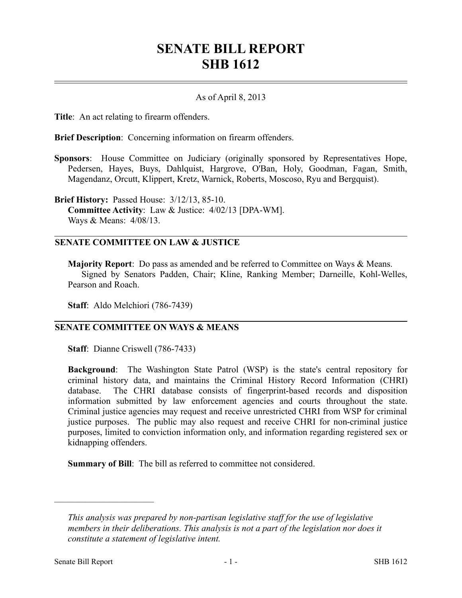## **SENATE BILL REPORT SHB 1612**

## As of April 8, 2013

**Title**: An act relating to firearm offenders.

**Brief Description**: Concerning information on firearm offenders.

**Sponsors**: House Committee on Judiciary (originally sponsored by Representatives Hope, Pedersen, Hayes, Buys, Dahlquist, Hargrove, O'Ban, Holy, Goodman, Fagan, Smith, Magendanz, Orcutt, Klippert, Kretz, Warnick, Roberts, Moscoso, Ryu and Bergquist).

**Brief History:** Passed House: 3/12/13, 85-10. **Committee Activity**: Law & Justice: 4/02/13 [DPA-WM]. Ways & Means: 4/08/13.

## **SENATE COMMITTEE ON LAW & JUSTICE**

**Majority Report**: Do pass as amended and be referred to Committee on Ways & Means. Signed by Senators Padden, Chair; Kline, Ranking Member; Darneille, Kohl-Welles, Pearson and Roach.

**Staff**: Aldo Melchiori (786-7439)

## **SENATE COMMITTEE ON WAYS & MEANS**

**Staff**: Dianne Criswell (786-7433)

**Background**: The Washington State Patrol (WSP) is the state's central repository for criminal history data, and maintains the Criminal History Record Information (CHRI) database. The CHRI database consists of fingerprint-based records and disposition information submitted by law enforcement agencies and courts throughout the state. Criminal justice agencies may request and receive unrestricted CHRI from WSP for criminal justice purposes. The public may also request and receive CHRI for non-criminal justice purposes, limited to conviction information only, and information regarding registered sex or kidnapping offenders.

**Summary of Bill**: The bill as referred to committee not considered.

––––––––––––––––––––––

*This analysis was prepared by non-partisan legislative staff for the use of legislative members in their deliberations. This analysis is not a part of the legislation nor does it constitute a statement of legislative intent.*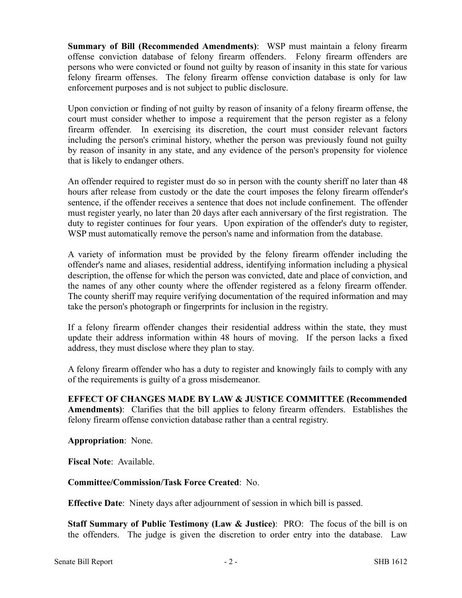**Summary of Bill (Recommended Amendments)**: WSP must maintain a felony firearm offense conviction database of felony firearm offenders. Felony firearm offenders are persons who were convicted or found not guilty by reason of insanity in this state for various felony firearm offenses. The felony firearm offense conviction database is only for law enforcement purposes and is not subject to public disclosure.

Upon conviction or finding of not guilty by reason of insanity of a felony firearm offense, the court must consider whether to impose a requirement that the person register as a felony firearm offender. In exercising its discretion, the court must consider relevant factors including the person's criminal history, whether the person was previously found not guilty by reason of insanity in any state, and any evidence of the person's propensity for violence that is likely to endanger others.

An offender required to register must do so in person with the county sheriff no later than 48 hours after release from custody or the date the court imposes the felony firearm offender's sentence, if the offender receives a sentence that does not include confinement. The offender must register yearly, no later than 20 days after each anniversary of the first registration. The duty to register continues for four years. Upon expiration of the offender's duty to register, WSP must automatically remove the person's name and information from the database.

A variety of information must be provided by the felony firearm offender including the offender's name and aliases, residential address, identifying information including a physical description, the offense for which the person was convicted, date and place of conviction, and the names of any other county where the offender registered as a felony firearm offender. The county sheriff may require verifying documentation of the required information and may take the person's photograph or fingerprints for inclusion in the registry.

If a felony firearm offender changes their residential address within the state, they must update their address information within 48 hours of moving. If the person lacks a fixed address, they must disclose where they plan to stay.

A felony firearm offender who has a duty to register and knowingly fails to comply with any of the requirements is guilty of a gross misdemeanor.

**EFFECT OF CHANGES MADE BY LAW & JUSTICE COMMITTEE (Recommended Amendments)**: Clarifies that the bill applies to felony firearm offenders. Establishes the felony firearm offense conviction database rather than a central registry.

**Appropriation**: None.

**Fiscal Note**: Available.

**Committee/Commission/Task Force Created**: No.

**Effective Date**: Ninety days after adjournment of session in which bill is passed.

**Staff Summary of Public Testimony (Law & Justice)**: PRO: The focus of the bill is on the offenders. The judge is given the discretion to order entry into the database. Law